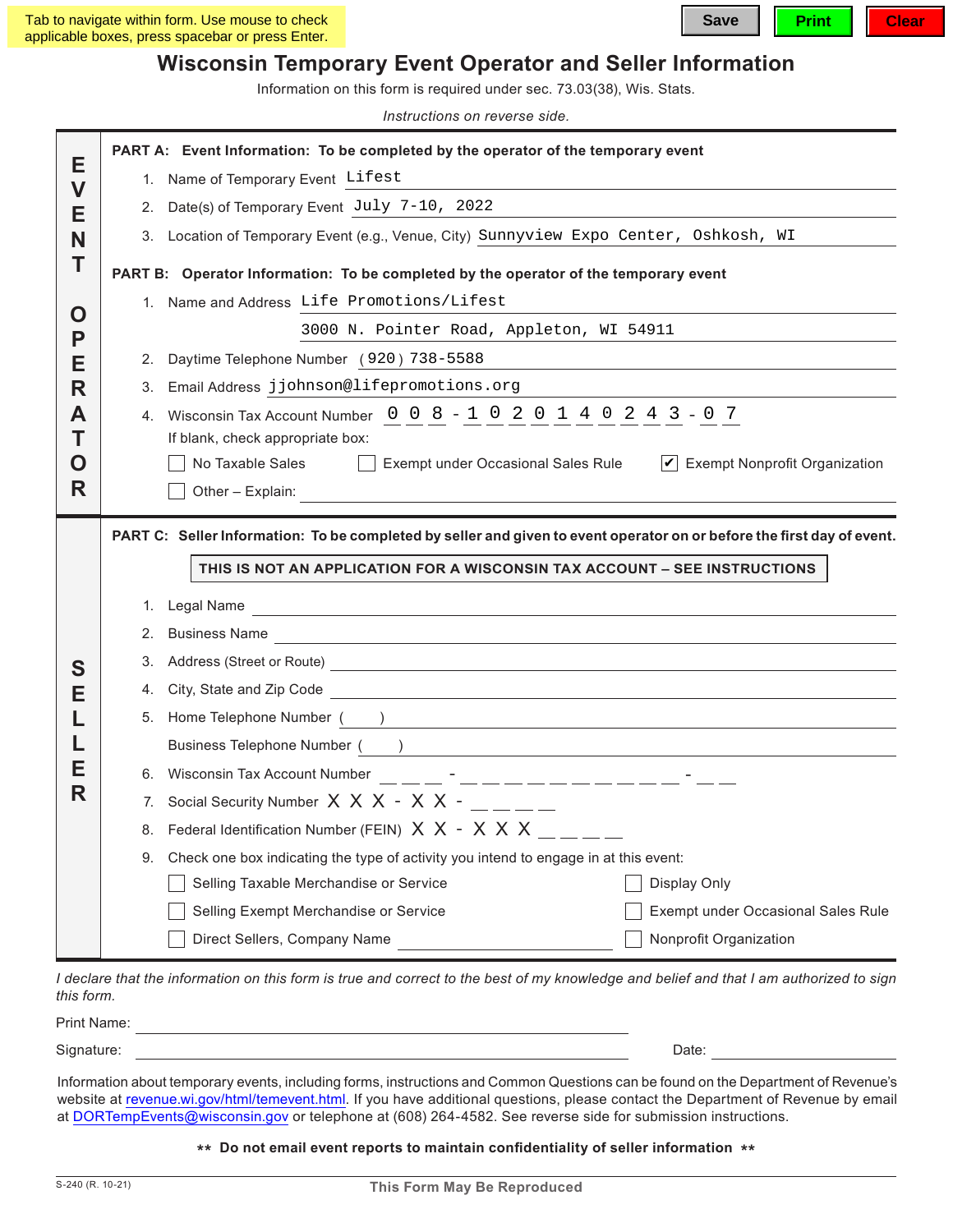## **Wisconsin Temporary Event Operator and Seller Information**

Information on this form is required under sec. 73.03(38), Wis. Stats.

*Instructions on reverse side.*

|                                   | PART A: Event Information: To be completed by the operator of the temporary event                                      |                                                                                                                                                                                                                                     |                                                                                                                                                                                                                               |  |  |  |  |  |
|-----------------------------------|------------------------------------------------------------------------------------------------------------------------|-------------------------------------------------------------------------------------------------------------------------------------------------------------------------------------------------------------------------------------|-------------------------------------------------------------------------------------------------------------------------------------------------------------------------------------------------------------------------------|--|--|--|--|--|
| E<br>$\overline{\mathsf{V}}$<br>Е |                                                                                                                        | 1. Name of Temporary Event Lifest                                                                                                                                                                                                   |                                                                                                                                                                                                                               |  |  |  |  |  |
|                                   | 2.                                                                                                                     | Date(s) of Temporary Event July 7-10, 2022                                                                                                                                                                                          |                                                                                                                                                                                                                               |  |  |  |  |  |
| N                                 |                                                                                                                        | 3. Location of Temporary Event (e.g., Venue, City) Sunnyview Expo Center, Oshkosh, WI                                                                                                                                               |                                                                                                                                                                                                                               |  |  |  |  |  |
| Т                                 | PART B: Operator Information: To be completed by the operator of the temporary event                                   |                                                                                                                                                                                                                                     |                                                                                                                                                                                                                               |  |  |  |  |  |
| O<br>P                            |                                                                                                                        | 1. Name and Address Life Promotions/Lifest                                                                                                                                                                                          |                                                                                                                                                                                                                               |  |  |  |  |  |
|                                   |                                                                                                                        | 3000 N. Pointer Road, Appleton, WI 54911                                                                                                                                                                                            |                                                                                                                                                                                                                               |  |  |  |  |  |
| Е                                 | 2.                                                                                                                     | Daytime Telephone Number (920) 738-5588                                                                                                                                                                                             | the control of the control of the control of the control of the control of the control of the control of the control of the control of the control of the control of the control of the control of the control of the control |  |  |  |  |  |
| R                                 | 3.                                                                                                                     | Email Address jjohnson@lifepromotions.org                                                                                                                                                                                           |                                                                                                                                                                                                                               |  |  |  |  |  |
| A                                 | 4.                                                                                                                     | Wisconsin Tax Account Number 0 0 8 - 1 0 2 0 1 4 0 2 4 3 - 0 7                                                                                                                                                                      |                                                                                                                                                                                                                               |  |  |  |  |  |
| Τ                                 | If blank, check appropriate box:                                                                                       |                                                                                                                                                                                                                                     |                                                                                                                                                                                                                               |  |  |  |  |  |
| O                                 | No Taxable Sales<br>$\triangleright$ Exempt Nonprofit Organization<br>Exempt under Occasional Sales Rule               |                                                                                                                                                                                                                                     |                                                                                                                                                                                                                               |  |  |  |  |  |
| R                                 |                                                                                                                        | Other - Explain:                                                                                                                                                                                                                    |                                                                                                                                                                                                                               |  |  |  |  |  |
|                                   | PART C: Seller Information: To be completed by seller and given to event operator on or before the first day of event. |                                                                                                                                                                                                                                     |                                                                                                                                                                                                                               |  |  |  |  |  |
|                                   | THIS IS NOT AN APPLICATION FOR A WISCONSIN TAX ACCOUNT - SEE INSTRUCTIONS                                              |                                                                                                                                                                                                                                     |                                                                                                                                                                                                                               |  |  |  |  |  |
|                                   |                                                                                                                        |                                                                                                                                                                                                                                     |                                                                                                                                                                                                                               |  |  |  |  |  |
|                                   | 2.                                                                                                                     | 1. Legal Name                                                                                                                                                                                                                       |                                                                                                                                                                                                                               |  |  |  |  |  |
|                                   | 3.                                                                                                                     | Address (Street or Route) <u>and a series of the series of the series of the series of the series of the series of</u>                                                                                                              |                                                                                                                                                                                                                               |  |  |  |  |  |
| S<br>Е                            | 4.                                                                                                                     | City, State and Zip Code <u>equal to the control of the state of</u> the control of the control of the control of the control of the control of the control of the control of the control of the control of the control of the cont |                                                                                                                                                                                                                               |  |  |  |  |  |
| Е<br>R                            |                                                                                                                        | 5. Home Telephone Number (Australian Communication of the Communication of the Communication of the Communication of the Communication of the Communication of the Communication of the Communication of the Communication of       |                                                                                                                                                                                                                               |  |  |  |  |  |
|                                   |                                                                                                                        | Business Telephone Number ( <u>)</u>                                                                                                                                                                                                |                                                                                                                                                                                                                               |  |  |  |  |  |
|                                   |                                                                                                                        |                                                                                                                                                                                                                                     |                                                                                                                                                                                                                               |  |  |  |  |  |
|                                   |                                                                                                                        | 7. Social Security Number X X X - X X -                                                                                                                                                                                             |                                                                                                                                                                                                                               |  |  |  |  |  |
|                                   |                                                                                                                        | 8. Federal Identification Number (FEIN) $X \times - X \times X$ __ _                                                                                                                                                                |                                                                                                                                                                                                                               |  |  |  |  |  |
|                                   | 9.                                                                                                                     | Check one box indicating the type of activity you intend to engage in at this event:                                                                                                                                                |                                                                                                                                                                                                                               |  |  |  |  |  |
|                                   |                                                                                                                        | Selling Taxable Merchandise or Service                                                                                                                                                                                              | Display Only                                                                                                                                                                                                                  |  |  |  |  |  |
|                                   |                                                                                                                        |                                                                                                                                                                                                                                     |                                                                                                                                                                                                                               |  |  |  |  |  |
|                                   |                                                                                                                        | Selling Exempt Merchandise or Service                                                                                                                                                                                               | Exempt under Occasional Sales Rule                                                                                                                                                                                            |  |  |  |  |  |

*I declare that the information on this form is true and correct to the best of my knowledge and belief and that I am authorized to sign this form.*

| Signature: |                                                                                                                                |  |  | Date |  |
|------------|--------------------------------------------------------------------------------------------------------------------------------|--|--|------|--|
|            | Information about tomperary quante including forma instructions and Common Quastions can be found on the Department of Poyenua |  |  |      |  |

Information about temporary events, including forms, instructions and Common Questions can be found on the Department of Revenue's website at [revenue.wi.gov/html/temevent.html](http://www.revenue.wi.gov/html/temevent.html). If you have additional questions, please contact the Department of Revenue by email at DORTempEvents@wisconsin.gov or telephone at (608) 264-4582. See reverse side for submission instructions.

## **\*\* Do not email event reports to maintain confidentiality of seller information \*\***

Print Name: